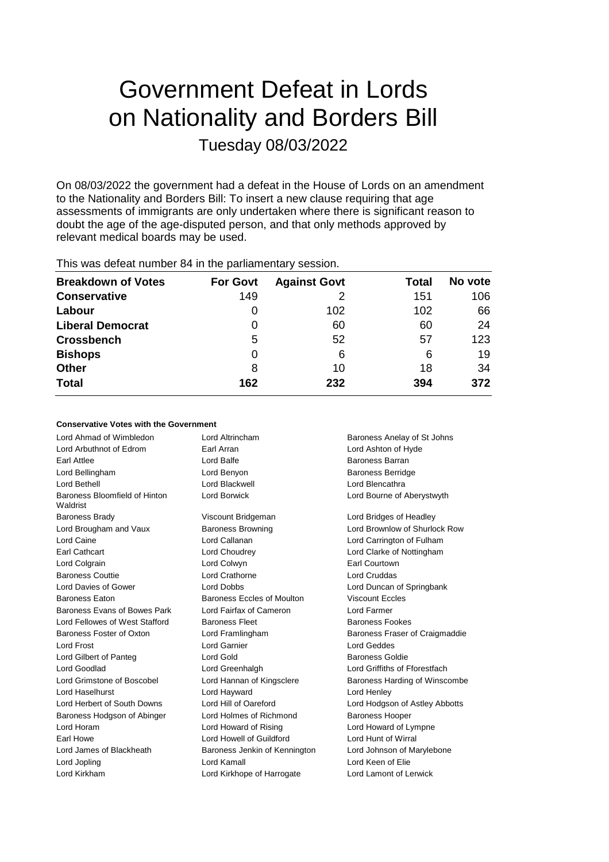# Government Defeat in Lords on Nationality and Borders Bill Tuesday 08/03/2022

On 08/03/2022 the government had a defeat in the House of Lords on an amendment to the Nationality and Borders Bill: To insert a new clause requiring that age assessments of immigrants are only undertaken where there is significant reason to doubt the age of the age-disputed person, and that only methods approved by relevant medical boards may be used.

| <b>Breakdown of Votes</b> | <b>For Govt</b> | <b>Against Govt</b> | Total | No vote |
|---------------------------|-----------------|---------------------|-------|---------|
| <b>Conservative</b>       | 149             |                     | 151   | 106     |
| Labour                    | 0               | 102                 | 102   | 66      |
| <b>Liberal Democrat</b>   | 0               | 60                  | 60    | 24      |
| <b>Crossbench</b>         | 5               | 52                  | 57    | 123     |
| <b>Bishops</b>            | 0               | 6                   | 6     | 19      |
| <b>Other</b>              | 8               | 10                  | 18    | 34      |
| <b>Total</b>              | 162             | 232                 | 394   | 372     |

This was defeat number 84 in the parliamentary session.

#### **Conservative Votes with the Government**

| Lord Ahmad of Wimbledon                   | Lord Altrincham               | Baroness Anelay of St Johns    |
|-------------------------------------------|-------------------------------|--------------------------------|
| Lord Arbuthnot of Edrom                   | Earl Arran                    | Lord Ashton of Hyde            |
| Earl Attlee                               | Lord Balfe                    | Baroness Barran                |
| Lord Bellingham                           | Lord Benyon                   | <b>Baroness Berridge</b>       |
| Lord Bethell                              | Lord Blackwell                | Lord Blencathra                |
| Baroness Bloomfield of Hinton<br>Waldrist | <b>Lord Borwick</b>           | Lord Bourne of Aberystwyth     |
| <b>Baroness Brady</b>                     | Viscount Bridgeman            | Lord Bridges of Headley        |
| Lord Brougham and Vaux                    | <b>Baroness Browning</b>      | Lord Brownlow of Shurlock Row  |
| Lord Caine                                | Lord Callanan                 | Lord Carrington of Fulham      |
| Earl Cathcart                             | Lord Choudrey                 | Lord Clarke of Nottingham      |
| Lord Colgrain                             | Lord Colwyn                   | Earl Courtown                  |
| <b>Baroness Couttie</b>                   | Lord Crathorne                | Lord Cruddas                   |
| Lord Davies of Gower                      | <b>Lord Dobbs</b>             | Lord Duncan of Springbank      |
| <b>Baroness Eaton</b>                     | Baroness Eccles of Moulton    | <b>Viscount Eccles</b>         |
| Baroness Evans of Bowes Park              | Lord Fairfax of Cameron       | Lord Farmer                    |
| Lord Fellowes of West Stafford            | <b>Baroness Fleet</b>         | <b>Baroness Fookes</b>         |
| Baroness Foster of Oxton                  | Lord Framlingham              | Baroness Fraser of Craigmaddie |
| Lord Frost                                | Lord Garnier                  | Lord Geddes                    |
| Lord Gilbert of Panteg                    | Lord Gold                     | <b>Baroness Goldie</b>         |
| Lord Goodlad                              | Lord Greenhalgh               | Lord Griffiths of Fforestfach  |
| Lord Grimstone of Boscobel                | Lord Hannan of Kingsclere     | Baroness Harding of Winscombe  |
| Lord Haselhurst                           | Lord Hayward                  | Lord Henley                    |
| Lord Herbert of South Downs               | Lord Hill of Oareford         | Lord Hodgson of Astley Abbotts |
| Baroness Hodgson of Abinger               | Lord Holmes of Richmond       | <b>Baroness Hooper</b>         |
| Lord Horam                                | Lord Howard of Rising         | Lord Howard of Lympne          |
| Earl Howe                                 | Lord Howell of Guildford      | Lord Hunt of Wirral            |
| Lord James of Blackheath                  | Baroness Jenkin of Kennington | Lord Johnson of Marylebone     |
| Lord Jopling                              | Lord Kamall                   | Lord Keen of Elie              |
| Lord Kirkham                              | Lord Kirkhope of Harrogate    | Lord Lamont of Lerwick         |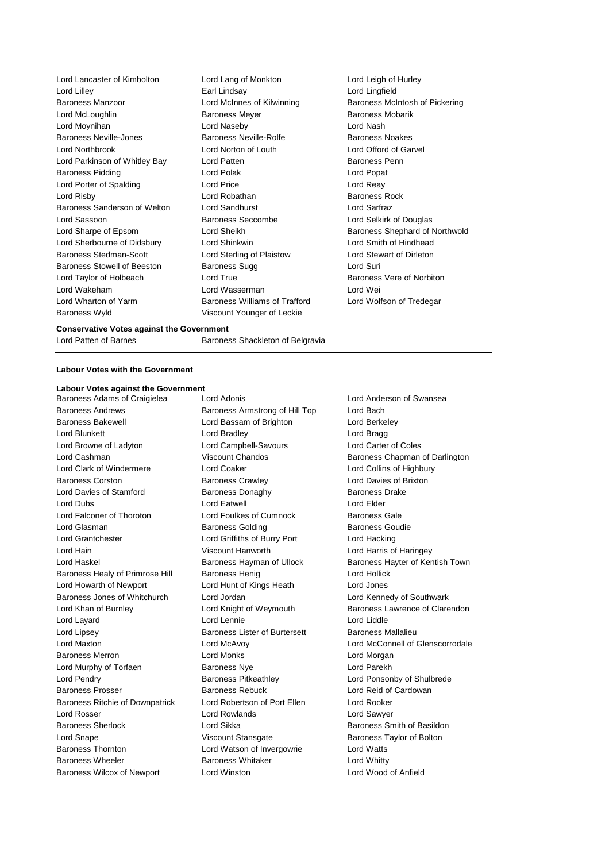Lord Lancaster of Kimbolton Lord Lang of Monkton Lord Leigh of Hurley Lord Lilley Earl Lindsay Lord Lingfield Baroness Manzoor **Lord McInnes of Kilwinning** Baroness McIntosh of Pickering Lord McLoughlin **Baroness Meyer** Baroness Meyer Baroness Mobarik Lord Moynihan Lord Naseby Lord Nash Baroness Neville-Jones **Baroness Neville-Rolfe** Baroness Neville-Baroness Noakes Lord Northbrook Lord Norton of Louth Lord Offord of Garvel Lord Parkinson of Whitley Bay **Lord Patten Baroness Penn** Baroness Pidding **Communist Construction** Lord Polak **Lord Popat** Lord Popat Lord Porter of Spalding Lord Price Lord Reay Lord Risby **Lord Robathan** Baroness Rock **Lord Robathan** Baroness Rock Baroness Sanderson of Welton Lord Sandhurst Lord Sarfraz Lord Sassoon Baroness Seccombe Lord Selkirk of Douglas Lord Sharpe of Epsom Lord Sheikh Baroness Shephard of Northwold Lord Sherbourne of Didsbury Lord Shinkwin Lord Smith of Hindhead Baroness Stedman-Scott Lord Sterling of Plaistow Baroness Stowell of Beeston Baroness Sugg baroness Sugg Lord Suri Lord Taylor of Holbeach **Lord True** Lord True **Baroness Vere of Norbiton** Lord Wakeham Lord Wasserman Lord Wei Lord Wharton of Yarm Baroness Williams of Trafford Lord Wolfson of Tredegar Baroness Wyld Viscount Younger of Leckie

#### **Conservative Votes against the Government**

Lord Patten of Barnes **Baroness** Shackleton of Belgravia

#### **Labour Votes with the Government**

# **Labour Votes against the Government**

Baroness Andrews Baroness Armstrong of Hill Top Lord Bach Baroness Bakewell Lord Bassam of Brighton Lord Berkeley Lord Blunkett Lord Bradley Lord Bragg Lord Browne of Ladyton Lord Campbell-Savours Lord Carter of Coles Lord Cashman Viscount Chandos Baroness Chapman of Darlington Lord Clark of Windermere Lord Coaker Lord Collins of Highbury Baroness Corston **Baroness Crawley Corston Baroness Crawley** Lord Davies of Brixton Lord Davies of Stamford Baroness Donaghy Baroness Drake Lord Dubs Lord Eatwell Lord Elder Lord Falconer of Thoroton **Lord Foulkes of Cumnock** Baroness Gale Lord Glasman **Baroness Golding** Baroness Golding Baroness Goudie Lord Grantchester Lord Griffiths of Burry Port Lord Hacking Lord Hain Viscount Hanworth Lord Harris of Haringey Baroness Healy of Primrose Hill Baroness Henig Lord Hollick Lord Howarth of Newport Lord Hunt of Kings Heath Lord Jones Baroness Jones of Whitchurch Lord Jordan Lord Kennedy of Southwark Lord Layard **Lord Lord Lennie Lord Lennie Lord Lord Liddle** Lord Lipsey **Baroness Lister of Burtersett** Baroness Mallalieu Baroness Merron Lord Monks Lord Morgan Lord Murphy of Torfaen Baroness Nye Lord Parekh Lord Pendry **Baroness Pitkeathley Baroness Pitkeathley Lord Ponsonby of Shulbrede** Baroness Prosser **Baroness Rebuck** Lord Reid of Cardowan Baroness Rebuck Baroness Ritchie of Downpatrick Lord Robertson of Port Ellen Lord Rooker Lord Rosser Lord Rowlands Lord Sawyer Baroness Sherlock **Lord Sikka** Baroness Smith of Basildon Lord Snape Viscount Stansgate Baroness Taylor of Bolton Baroness Thornton Lord Watson of Invergowrie Lord Watts Baroness Wheeler **Baroness Whitaker** Lord Whitty Baroness Wilcox of Newport Lord Winston Lord Wood of Anfield

Baroness Adams of Craigielea Lord Adonis Lord Anderson of Swansea

Lord Haskel **Baroness Hayman of Ullock** Baroness Hayter of Kentish Town Lord Khan of Burnley Lord Knight of Weymouth Baroness Lawrence of Clarendon Lord Maxton Lord McAvoy Lord McConnell of Glenscorrodale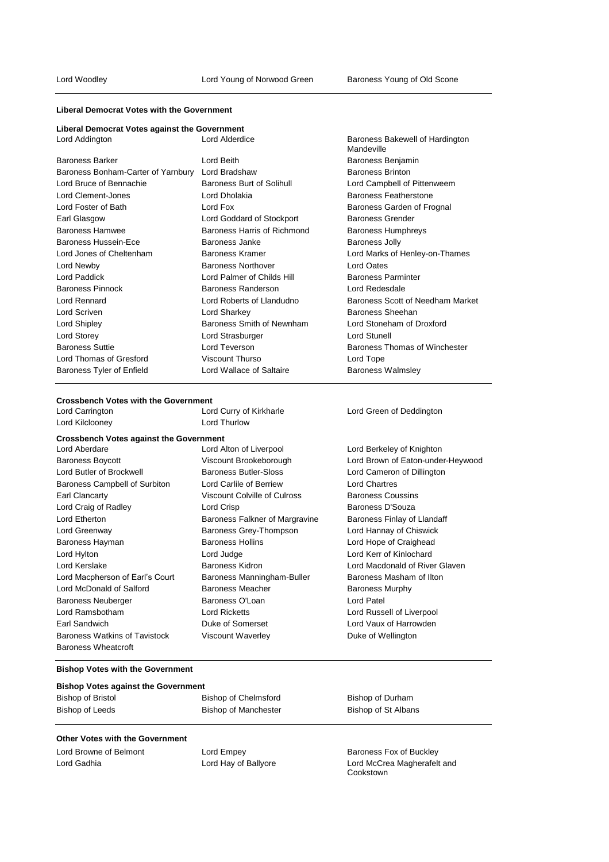#### **Liberal Democrat Votes with the Government**

# **Liberal Democrat Votes against the Government**

| Lord Addington                                   | Lord Alderdice              | Baroness Bakewell of Hardington<br>Mandeville |
|--------------------------------------------------|-----------------------------|-----------------------------------------------|
| <b>Baroness Barker</b>                           | Lord Beith                  | Baroness Benjamin                             |
| Baroness Bonham-Carter of Yarnbury Lord Bradshaw |                             | <b>Baroness Brinton</b>                       |
| Lord Bruce of Bennachie                          | Baroness Burt of Solihull   | Lord Campbell of Pittenweem                   |
| Lord Clement-Jones                               | Lord Dholakia               | Baroness Featherstone                         |
| Lord Foster of Bath                              | Lord Fox                    | Baroness Garden of Frognal                    |
| Earl Glasgow                                     | Lord Goddard of Stockport   | <b>Baroness Grender</b>                       |
| Baroness Hamwee                                  | Baroness Harris of Richmond | Baroness Humphreys                            |
| Baroness Hussein-Ece                             | Baroness Janke              | <b>Baroness Jolly</b>                         |
| Lord Jones of Cheltenham                         | Baroness Kramer             | Lord Marks of Henley-on-Thames                |
| Lord Newby                                       | <b>Baroness Northover</b>   | <b>Lord Oates</b>                             |
| Lord Paddick                                     | Lord Palmer of Childs Hill  | <b>Baroness Parminter</b>                     |
| <b>Baroness Pinnock</b>                          | <b>Baroness Randerson</b>   | Lord Redesdale                                |
| <b>Lord Rennard</b>                              | Lord Roberts of Llandudno   | Baroness Scott of Needham Market              |
| Lord Scriven                                     | Lord Sharkey                | Baroness Sheehan                              |
| Lord Shipley                                     | Baroness Smith of Newnham   | Lord Stoneham of Droxford                     |
| Lord Storey                                      | Lord Strasburger            | <b>Lord Stunell</b>                           |
| <b>Baroness Suttie</b>                           | Lord Teverson               | Baroness Thomas of Winchester                 |
| Lord Thomas of Gresford                          | <b>Viscount Thurso</b>      | Lord Tope                                     |
| Baroness Tyler of Enfield                        | Lord Wallace of Saltaire    | <b>Baroness Walmsley</b>                      |

#### **Crossbench Votes with the Government**

| Lord Carrington                                | Lord Curry of Kirkharle        | Lord Green of Deddington          |
|------------------------------------------------|--------------------------------|-----------------------------------|
| Lord Kilclooney                                | Lord Thurlow                   |                                   |
| <b>Crossbench Votes against the Government</b> |                                |                                   |
| Lord Aberdare                                  | Lord Alton of Liverpool        | Lord Berkeley of Knighton         |
| <b>Baroness Boycott</b>                        | Viscount Brookeborough         | Lord Brown of Eaton-under-Heywood |
| Lord Butler of Brockwell                       | Baroness Butler-Sloss          | Lord Cameron of Dillington        |
| Baroness Campbell of Surbiton                  | Lord Carlile of Berriew        | <b>Lord Chartres</b>              |
| Earl Clancarty                                 | Viscount Colville of Culross   | <b>Baroness Coussins</b>          |
| Lord Craig of Radley                           | Lord Crisp                     | Baroness D'Souza                  |
| Lord Etherton                                  | Baroness Falkner of Margravine | Baroness Finlay of Llandaff       |
| Lord Greenway                                  | Baroness Grey-Thompson         | Lord Hannay of Chiswick           |
| Baroness Hayman                                | <b>Baroness Hollins</b>        | Lord Hope of Craighead            |
| Lord Hylton                                    | Lord Judge                     | Lord Kerr of Kinlochard           |
| Lord Kerslake                                  | <b>Baroness Kidron</b>         | Lord Macdonald of River Glaven    |
| Lord Macpherson of Earl's Court                | Baroness Manningham-Buller     | Baroness Masham of Ilton          |
| Lord McDonald of Salford                       | <b>Baroness Meacher</b>        | <b>Baroness Murphy</b>            |
| <b>Baroness Neuberger</b>                      | Baroness O'Loan                | Lord Patel                        |
| Lord Ramsbotham                                | <b>Lord Ricketts</b>           | Lord Russell of Liverpool         |
| Earl Sandwich                                  | Duke of Somerset               | Lord Vaux of Harrowden            |
| Baroness Watkins of Tavistock                  | <b>Viscount Waverley</b>       | Duke of Wellington                |
| Baroness Wheatcroft                            |                                |                                   |

#### **Bishop Votes with the Government**

#### **Bishop Votes against the Government**

## Bishop of Bristol Bishop of Chelmsford Bishop of Durham Bishop of Leeds Bishop of Manchester Bishop of St Albans

#### **Other Votes with the Government**

Lord Browne of Belmont **Lord Empey Lord Empey Baroness Fox of Buckley** 

Lord Gadhia Lord Hay of Ballyore Lord McCrea Magherafelt and Cookstown